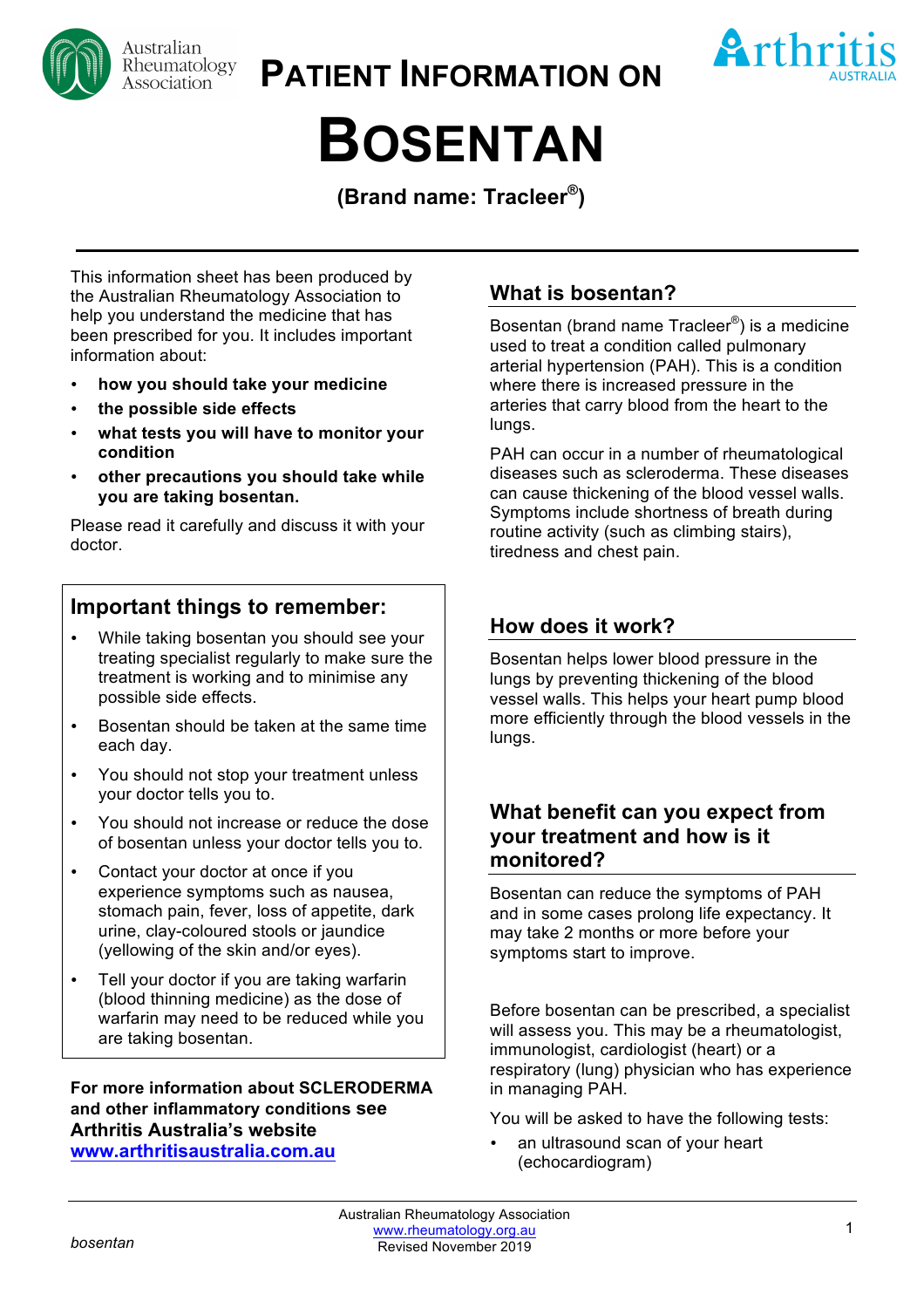

**PATIENT INFORMATION ON**



# **BOSENTAN**

**(Brand name: Tracleer®)**

This information sheet has been produced by the Australian Rheumatology Association to help you understand the medicine that has been prescribed for you. It includes important information about:

- **how you should take your medicine**
- **the possible side effects**
- **what tests you will have to monitor your condition**
- **other precautions you should take while you are taking bosentan.**

Please read it carefully and discuss it with your doctor.

# **Important things to remember:**

- While taking bosentan you should see your treating specialist regularly to make sure the treatment is working and to minimise any possible side effects.
- Bosentan should be taken at the same time each day.
- You should not stop your treatment unless your doctor tells you to.
- You should not increase or reduce the dose of bosentan unless your doctor tells you to.
- Contact your doctor at once if you experience symptoms such as nausea, stomach pain, fever, loss of appetite, dark urine, clay-coloured stools or jaundice (yellowing of the skin and/or eyes).
- Tell your doctor if you are taking warfarin (blood thinning medicine) as the dose of warfarin may need to be reduced while you are taking bosentan.

**For more information about SCLERODERMA and other inflammatory conditions see Arthritis Australia's website www.arthritisaustralia.com.au**

# **What is bosentan?**

Bosentan (brand name Tracleer®) is a medicine used to treat a condition called pulmonary arterial hypertension (PAH). This is a condition where there is increased pressure in the arteries that carry blood from the heart to the lungs.

PAH can occur in a number of rheumatological diseases such as scleroderma. These diseases can cause thickening of the blood vessel walls. Symptoms include shortness of breath during routine activity (such as climbing stairs), tiredness and chest pain.

## **How does it work?**

Bosentan helps lower blood pressure in the lungs by preventing thickening of the blood vessel walls. This helps your heart pump blood more efficiently through the blood vessels in the lungs.

## **What benefit can you expect from your treatment and how is it monitored?**

Bosentan can reduce the symptoms of PAH and in some cases prolong life expectancy. It may take 2 months or more before your symptoms start to improve.

Before bosentan can be prescribed, a specialist will assess you. This may be a rheumatologist, immunologist, cardiologist (heart) or a respiratory (lung) physician who has experience in managing PAH.

You will be asked to have the following tests:

an ultrasound scan of your heart (echocardiogram)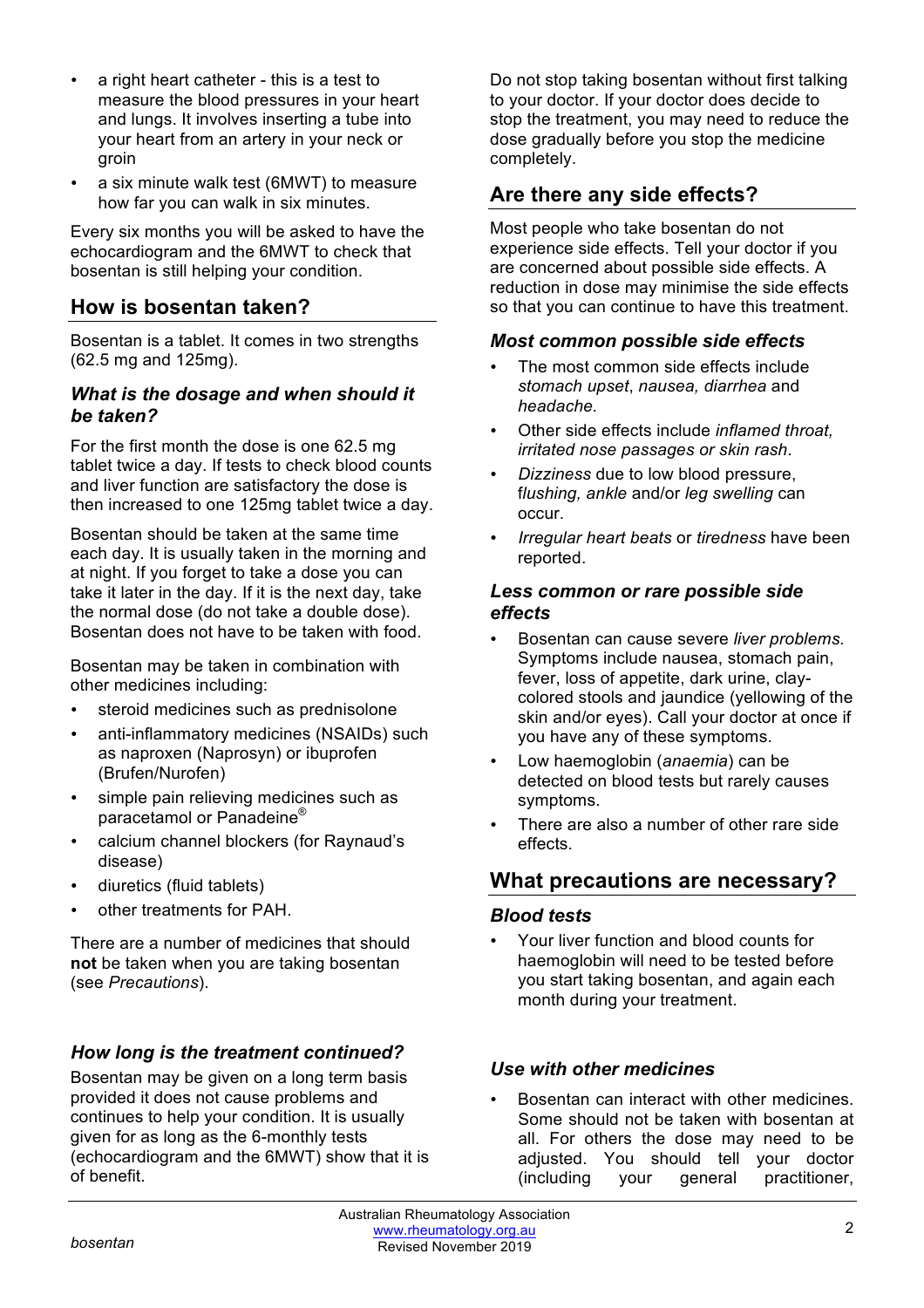- a right heart catheter this is a test to measure the blood pressures in your heart and lungs. It involves inserting a tube into your heart from an artery in your neck or groin
- a six minute walk test (6MWT) to measure how far you can walk in six minutes.

Every six months you will be asked to have the echocardiogram and the 6MWT to check that bosentan is still helping your condition.

## **How is bosentan taken?**

Bosentan is a tablet. It comes in two strengths (62.5 mg and 125mg).

### *What is the dosage and when should it be taken?*

For the first month the dose is one 62.5 mg tablet twice a day. If tests to check blood counts and liver function are satisfactory the dose is then increased to one 125mg tablet twice a day.

Bosentan should be taken at the same time each day. It is usually taken in the morning and at night. If you forget to take a dose you can take it later in the day. If it is the next day, take the normal dose (do not take a double dose). Bosentan does not have to be taken with food.

Bosentan may be taken in combination with other medicines including:

- steroid medicines such as prednisolone
- anti-inflammatory medicines (NSAIDs) such as naproxen (Naprosyn) or ibuprofen (Brufen/Nurofen)
- simple pain relieving medicines such as paracetamol or Panadeine®
- calcium channel blockers (for Raynaud's disease)
- diuretics (fluid tablets)
- other treatments for PAH.

There are a number of medicines that should **not** be taken when you are taking bosentan (see *Precautions*).

## *How long is the treatment continued?*

Bosentan may be given on a long term basis provided it does not cause problems and continues to help your condition. It is usually given for as long as the 6-monthly tests (echocardiogram and the 6MWT) show that it is of benefit.

Do not stop taking bosentan without first talking to your doctor. If your doctor does decide to stop the treatment, you may need to reduce the dose gradually before you stop the medicine completely.

## **Are there any side effects?**

Most people who take bosentan do not experience side effects. Tell your doctor if you are concerned about possible side effects. A reduction in dose may minimise the side effects so that you can continue to have this treatment.

#### *Most common possible side effects*

- The most common side effects include *stomach upset*, *nausea, diarrhea* and *headache.*
- Other side effects include *inflamed throat, irritated nose passages or skin rash*.
- *Dizziness* due to low blood pressure, f*lushing, ankle* and/or *leg swelling* can occur.
- *Irregular heart beats* or *tiredness* have been reported.

### *Less common or rare possible side effects*

- Bosentan can cause severe *liver problems.* Symptoms include nausea, stomach pain, fever, loss of appetite, dark urine, claycolored stools and jaundice (yellowing of the skin and/or eyes). Call your doctor at once if you have any of these symptoms.
- Low haemoglobin (*anaemia*) can be detected on blood tests but rarely causes symptoms.
- There are also a number of other rare side effects.

## **What precautions are necessary?**

#### *Blood tests*

• Your liver function and blood counts for haemoglobin will need to be tested before you start taking bosentan, and again each month during your treatment.

#### *Use with other medicines*

• Bosentan can interact with other medicines. Some should not be taken with bosentan at all. For others the dose may need to be adjusted. You should tell your doctor (including your general practitioner,